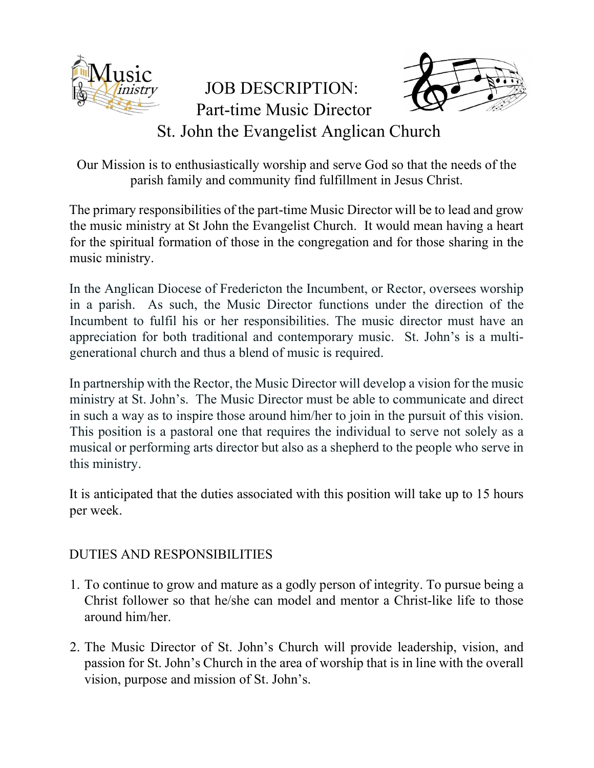

## JOB DESCRIPTION: Part-time Music Director St. John the Evangelist Anglican Church

Our Mission is to enthusiastically worship and serve God so that the needs of the parish family and community find fulfillment in Jesus Christ.

The primary responsibilities of the part-time Music Director will be to lead and grow the music ministry at St John the Evangelist Church. It would mean having a heart for the spiritual formation of those in the congregation and for those sharing in the music ministry.

In the Anglican Diocese of Fredericton the Incumbent, or Rector, oversees worship in a parish. As such, the Music Director functions under the direction of the Incumbent to fulfil his or her responsibilities. The music director must have an appreciation for both traditional and contemporary music. St. John's is a multigenerational church and thus a blend of music is required.

In partnership with the Rector, the Music Director will develop a vision for the music ministry at St. John's. The Music Director must be able to communicate and direct in such a way as to inspire those around him/her to join in the pursuit of this vision. This position is a pastoral one that requires the individual to serve not solely as a musical or performing arts director but also as a shepherd to the people who serve in this ministry.

It is anticipated that the duties associated with this position will take up to 15 hours per week.

## DUTIES AND RESPONSIBILITIES

- 1. To continue to grow and mature as a godly person of integrity. To pursue being a Christ follower so that he/she can model and mentor a Christ-like life to those around him/her.
- 2. The Music Director of St. John's Church will provide leadership, vision, and passion for St. John's Church in the area of worship that is in line with the overall vision, purpose and mission of St. John's.